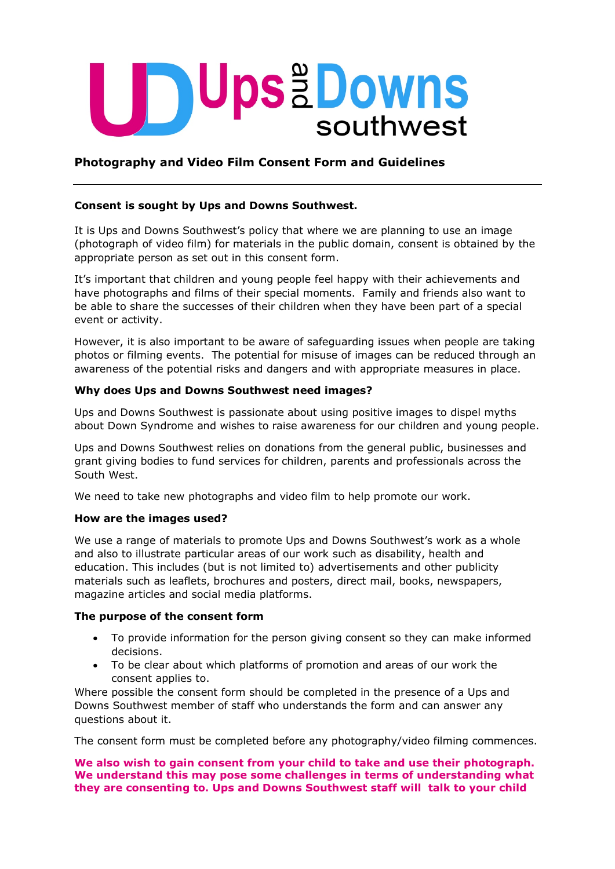

# **Photography and Video Film Consent Form and Guidelines**

## **Consent is sought by Ups and Downs Southwest.**

It is Ups and Downs Southwest's policy that where we are planning to use an image (photograph of video film) for materials in the public domain, consent is obtained by the appropriate person as set out in this consent form.

It's important that children and young people feel happy with their achievements and have photographs and films of their special moments. Family and friends also want to be able to share the successes of their children when they have been part of a special event or activity.

However, it is also important to be aware of safeguarding issues when people are taking photos or filming events. The potential for misuse of images can be reduced through an awareness of the potential risks and dangers and with appropriate measures in place.

### **Why does Ups and Downs Southwest need images?**

Ups and Downs Southwest is passionate about using positive images to dispel myths about Down Syndrome and wishes to raise awareness for our children and young people.

Ups and Downs Southwest relies on donations from the general public, businesses and grant giving bodies to fund services for children, parents and professionals across the South West.

We need to take new photographs and video film to help promote our work.

#### **How are the images used?**

We use a range of materials to promote Ups and Downs Southwest's work as a whole and also to illustrate particular areas of our work such as disability, health and education. This includes (but is not limited to) advertisements and other publicity materials such as leaflets, brochures and posters, direct mail, books, newspapers, magazine articles and social media platforms.

#### **The purpose of the consent form**

- To provide information for the person giving consent so they can make informed decisions.
- To be clear about which platforms of promotion and areas of our work the consent applies to.

Where possible the consent form should be completed in the presence of a Ups and Downs Southwest member of staff who understands the form and can answer any questions about it.

The consent form must be completed before any photography/video filming commences.

#### **We also wish to gain consent from your child to take and use their photograph. We understand this may pose some challenges in terms of understanding what they are consenting to. Ups and Downs Southwest staff will talk to your child**